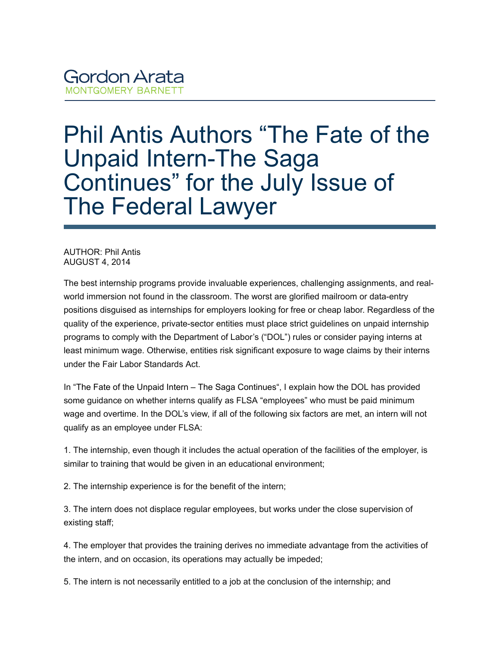## **Gordon Arata MONTGOMERY BARNETT**

## Phil Antis Authors "The Fate of the Unpaid Intern-The Saga Continues" for the July Issue of The Federal Lawyer

AUTHOR: Phil Antis AUGUST 4, 2014

The best internship programs provide invaluable experiences, challenging assignments, and realworld immersion not found in the classroom. The worst are glorified mailroom or data-entry positions disguised as internships for employers looking for free or cheap labor. Regardless of the quality of the experience, private-sector entities must place strict guidelines on unpaid internship programs to comply with the Department of Labor's ("DOL") rules or consider paying interns at least minimum wage. Otherwise, entities risk significant exposure to wage claims by their interns under the Fair Labor Standards Act.

In ["The Fate of the Unpaid Intern – The Saga Continues](https://gamb.com/wp-content/uploads/2019/09/TheFateofTheUpaidIntern.pdf)", I explain how the DOL has provided some guidance on whether interns qualify as FLSA "employees" who must be paid minimum wage and overtime. In the DOL's view, if all of the following six factors are met, an intern will not qualify as an employee under FLSA:

1. The internship, even though it includes the actual operation of the facilities of the employer, is similar to training that would be given in an educational environment;

2. The internship experience is for the benefit of the intern;

3. The intern does not displace regular employees, but works under the close supervision of existing staff;

4. The employer that provides the training derives no immediate advantage from the activities of the intern, and on occasion, its operations may actually be impeded;

5. The intern is not necessarily entitled to a job at the conclusion of the internship; and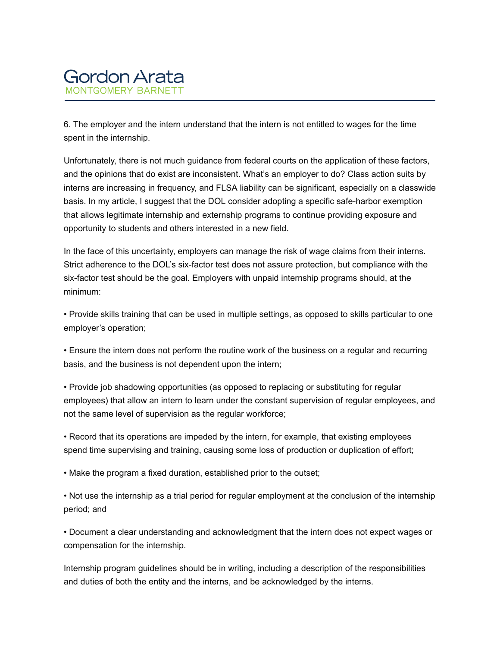

6. The employer and the intern understand that the intern is not entitled to wages for the time spent in the internship.

Unfortunately, there is not much guidance from federal courts on the application of these factors, and the opinions that do exist are inconsistent. What's an employer to do? Class action suits by interns are increasing in frequency, and FLSA liability can be significant, especially on a classwide basis. In my article, I suggest that the DOL consider adopting a specific safe-harbor exemption that allows legitimate internship and externship programs to continue providing exposure and opportunity to students and others interested in a new field.

In the face of this uncertainty, employers can manage the risk of wage claims from their interns. Strict adherence to the DOL's six-factor test does not assure protection, but compliance with the six-factor test should be the goal. Employers with unpaid internship programs should, at the minimum:

• Provide skills training that can be used in multiple settings, as opposed to skills particular to one employer's operation;

• Ensure the intern does not perform the routine work of the business on a regular and recurring basis, and the business is not dependent upon the intern;

• Provide job shadowing opportunities (as opposed to replacing or substituting for regular employees) that allow an intern to learn under the constant supervision of regular employees, and not the same level of supervision as the regular workforce;

• Record that its operations are impeded by the intern, for example, that existing employees spend time supervising and training, causing some loss of production or duplication of effort;

• Make the program a fixed duration, established prior to the outset;

• Not use the internship as a trial period for regular employment at the conclusion of the internship period; and

• Document a clear understanding and acknowledgment that the intern does not expect wages or compensation for the internship.

Internship program guidelines should be in writing, including a description of the responsibilities and duties of both the entity and the interns, and be acknowledged by the interns.